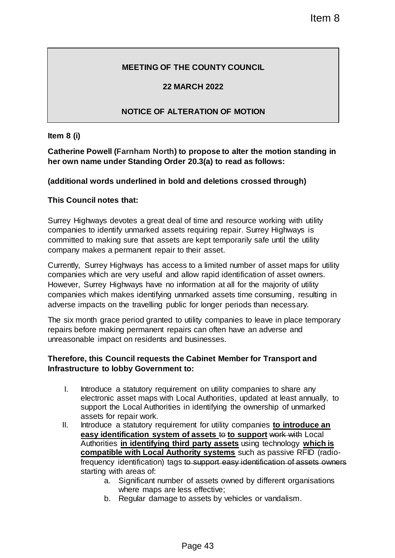# **MEETING OF THE COUNTY COUNCIL**

### **22 MARCH 2022**

# **NOTICE OF ALTERATION OF MOTION**

**Item 8 (i)**

**Catherine Powell (Farnham North) to propose to alter the motion standing in her own name under Standing Order 20.3(a) to read as follows:**

### **(additional words underlined in bold and deletions crossed through)**

### **This Council notes that:**

Surrey Highways devotes a great deal of time and resource working with utility companies to identify unmarked assets requiring repair. Surrey Highways is committed to making sure that assets are kept temporarily safe until the utility company makes a permanent repair to their asset.

Currently, Surrey Highways has access to a limited number of asset maps for utility companies which are very useful and allow rapid identification of asset owners. However, Surrey Highways have no information at all for the majority of utility companies which makes identifying unmarked assets time consuming, resulting in adverse impacts on the travelling public for longer periods than necessary.

The six month grace period granted to utility companies to leave in place temporary repairs before making permanent repairs can often have an adverse and unreasonable impact on residents and businesses.

### **Therefore, this Council requests the Cabinet Member for Transport and Infrastructure to lobby Government to:**

- I. Introduce a statutory requirement on utility companies to share any electronic asset maps with Local Authorities, updated at least annually, to support the Local Authorities in identifying the ownership of unmarked assets for repair work.
- II. Introduce a statutory requirement for utility companies **to introduce an easy identification system of assets to budge to support work with Local** Authorities **in identifying third party assets** using technology **which is compatible with Local Authority systems** such as passive RFID (radiofrequency identification) tags to support easy identification of assets owners starting with areas of: Item 8<br>
HE COUNTY COUNCIL<br>
ARCH 2022<br>
ERATION OF MOTION<br>
o propose to alter the motion standing in<br>
r 20.3(a) to read as follows:<br>
d and deletions crossed through)<br>
of time and resource working with utility<br>
is requiring r
	- a. Significant number of assets owned by different organisations where maps are less effective;
	- b. Regular damage to assets by vehicles or vandalism.